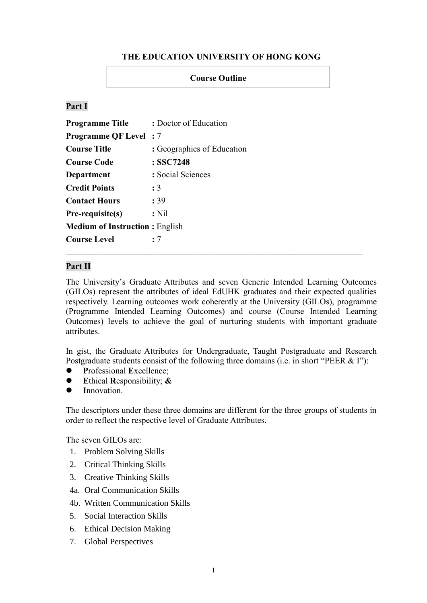# **THE EDUCATION UNIVERSITY OF HONG KONG**

### **Course Outline**

# **Part I**

| <b>Programme Title</b>                | : Doctor of Education      |
|---------------------------------------|----------------------------|
| <b>Programme QF Level: 7</b>          |                            |
| <b>Course Title</b>                   | : Geographies of Education |
| <b>Course Code</b>                    | : SSC7248                  |
| Department                            | : Social Sciences          |
| <b>Credit Points</b>                  | : 3                        |
| <b>Contact Hours</b>                  | : 39                       |
| Pre-requisite(s)                      | $:$ Nil                    |
| <b>Medium of Instruction: English</b> |                            |
| <b>Course Level</b>                   | : 7                        |

### **Part II**

The University's Graduate Attributes and seven Generic Intended Learning Outcomes (GILOs) represent the attributes of ideal EdUHK graduates and their expected qualities respectively. Learning outcomes work coherently at the University (GILOs), programme (Programme Intended Learning Outcomes) and course (Course Intended Learning Outcomes) levels to achieve the goal of nurturing students with important graduate attributes.

In gist, the Graduate Attributes for Undergraduate, Taught Postgraduate and Research Postgraduate students consist of the following three domains (i.e. in short "PEER & I"):

- **P**rofessional **E**xcellence;
- **E**thical **R**esponsibility; **&**
- **I**nnovation.

The descriptors under these three domains are different for the three groups of students in order to reflect the respective level of Graduate Attributes.

The seven GILOs are:

- 1. Problem Solving Skills
- 2. Critical Thinking Skills
- 3. Creative Thinking Skills
- 4a. Oral Communication Skills
- 4b. Written Communication Skills
- 5. Social Interaction Skills
- 6. Ethical Decision Making
- 7. Global Perspectives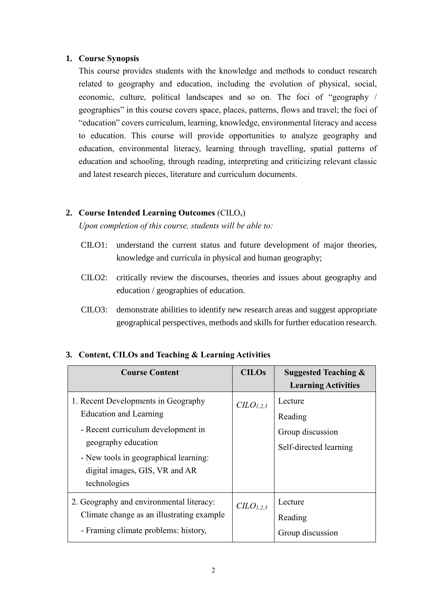### **1. Course Synopsis**

This course provides students with the knowledge and methods to conduct research related to geography and education, including the evolution of physical, social, economic, culture, political landscapes and so on. The foci of "geography / geographies" in this course covers space, places, patterns, flows and travel; the foci of "education" covers curriculum, learning, knowledge, environmental literacy and access to education. This course will provide opportunities to analyze geography and education, environmental literacy, learning through travelling, spatial patterns of education and schooling, through reading, interpreting and criticizing relevant classic and latest research pieces, literature and curriculum documents.

# **2. Course Intended Learning Outcomes** (CILOs)

*Upon completion of this course, students will be able to:*

- CILO1: understand the current status and future development of major theories, knowledge and curricula in physical and human geography;
- CILO2: critically review the discourses, theories and issues about geography and education / geographies of education.
- CILO3: demonstrate abilities to identify new research areas and suggest appropriate geographical perspectives, methods and skills for further education research.

| <b>Course Content</b>                                                                                                                                                                                                 | <b>CILOs</b>                      | <b>Suggested Teaching &amp;</b><br><b>Learning Activities</b>    |
|-----------------------------------------------------------------------------------------------------------------------------------------------------------------------------------------------------------------------|-----------------------------------|------------------------------------------------------------------|
| 1. Recent Developments in Geography<br>Education and Learning<br>- Recent curriculum development in<br>geography education<br>- New tools in geographical learning:<br>digital images, GIS, VR and AR<br>technologies | C <sub>L</sub> O <sub>L,2,3</sub> | Lecture<br>Reading<br>Group discussion<br>Self-directed learning |
| 2. Geography and environmental literacy:<br>Climate change as an illustrating example<br>- Framing climate problems: history,                                                                                         | C <sub>L</sub> O <sub>L,2,3</sub> | Lecture<br>Reading<br>Group discussion                           |

# **3. Content, CILOs and Teaching & Learning Activities**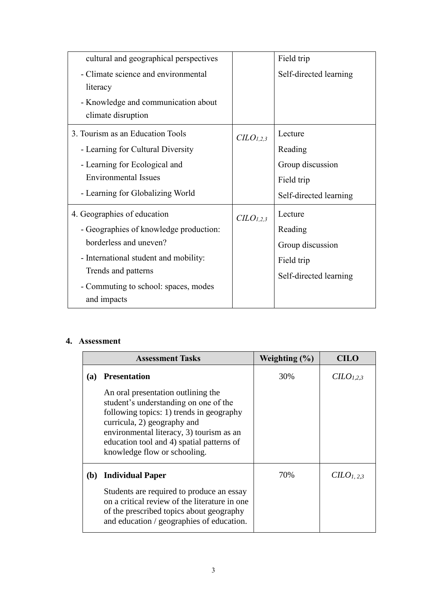| cultural and geographical perspectives |                                   | Field trip             |
|----------------------------------------|-----------------------------------|------------------------|
| - Climate science and environmental    |                                   | Self-directed learning |
| literacy                               |                                   |                        |
| - Knowledge and communication about    |                                   |                        |
| climate disruption                     |                                   |                        |
| 3. Tourism as an Education Tools       | CLO <sub>1,2,3</sub>              | Lecture                |
| - Learning for Cultural Diversity      |                                   | Reading                |
| - Learning for Ecological and          |                                   | Group discussion       |
| <b>Environmental Issues</b>            |                                   | Field trip             |
| - Learning for Globalizing World       |                                   | Self-directed learning |
| 4. Geographies of education            | C <sub>L</sub> O <sub>L,2,3</sub> | Lecture                |
| - Geographies of knowledge production: |                                   | Reading                |
| borderless and uneven?                 |                                   | Group discussion       |
| - International student and mobility:  |                                   | Field trip             |
| Trends and patterns                    |                                   | Self-directed learning |
| - Commuting to school: spaces, modes   |                                   |                        |
| and impacts                            |                                   |                        |

# **4. Assessment**

|     | <b>Assessment Tasks</b>                                                                                                                                                                                                                                                         | Weighting $(\% )$ | CILO                              |
|-----|---------------------------------------------------------------------------------------------------------------------------------------------------------------------------------------------------------------------------------------------------------------------------------|-------------------|-----------------------------------|
| (a) | <b>Presentation</b>                                                                                                                                                                                                                                                             | 30%               | C <sub>L</sub> O <sub>L,2,3</sub> |
|     | An oral presentation outlining the<br>student's understanding on one of the<br>following topics: 1) trends in geography<br>curricula, 2) geography and<br>environmental literacy, 3) tourism as an<br>education tool and 4) spatial patterns of<br>knowledge flow or schooling. |                   |                                   |
| (b) | <b>Individual Paper</b>                                                                                                                                                                                                                                                         | 70%               | $CLO_{1,2,3}$                     |
|     | Students are required to produce an essay<br>on a critical review of the literature in one<br>of the prescribed topics about geography<br>and education / geographies of education.                                                                                             |                   |                                   |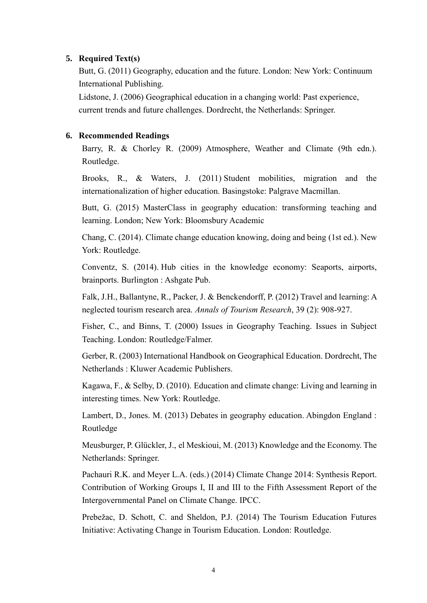## **5. Required Text(s)**

Butt, G. (2011) Geography, education and the future. London: New York: Continuum International Publishing.

Lidstone, J. (2006) Geographical education in a changing world: Past experience, current trends and future challenges. Dordrecht, the Netherlands: Springer.

### **6. Recommended Readings**

Barry, R. & Chorley R. (2009) Atmosphere, Weather and Climate (9th edn.). Routledge.

Brooks, R., & Waters, J. (2011) Student mobilities, migration and the internationalization of higher education. Basingstoke: Palgrave Macmillan.

Butt, G. (2015) MasterClass in geography education: transforming teaching and learning. London; New York: Bloomsbury Academic

Chang, C. (2014). Climate change education knowing, doing and being (1st ed.). New York: Routledge.

Conventz, S. (2014). Hub cities in the knowledge economy: Seaports, airports, brainports. Burlington : Ashgate Pub.

Falk, J.H., Ballantyne, R., Packer, J. & Benckendorff, P. (2012) Travel and learning: A neglected tourism research area. *Annals of Tourism Research*, 39 (2): 908-927.

Fisher, C., and Binns, T. (2000) Issues in Geography Teaching. Issues in Subject Teaching. London: Routledge/Falmer.

Gerber, R. (2003) International Handbook on Geographical Education. Dordrecht, The Netherlands : Kluwer Academic Publishers.

Kagawa, F., & Selby, D. (2010). Education and climate change: Living and learning in interesting times. New York: Routledge.

Lambert, D., Jones. M. (2013) Debates in geography education. Abingdon England : Routledge

Meusburger, P. Glückler, J., el Meskioui, M. (2013) Knowledge and the Economy. The Netherlands: Springer.

Pachauri R.K. and Meyer L.A. (eds.) (2014) Climate Change 2014: Synthesis Report. Contribution of Working Groups I, II and III to the Fifth Assessment Report of the Intergovernmental Panel on Climate Change. IPCC.

Prebežac, D. Schott, C. and Sheldon, P.J. (2014) The Tourism Education Futures Initiative: Activating Change in Tourism Education. London: Routledge.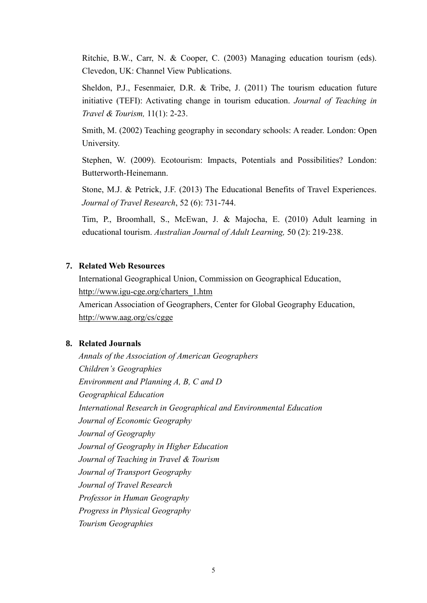Ritchie, B.W., Carr, N. & Cooper, C. (2003) Managing education tourism (eds). Clevedon, UK: Channel View Publications.

Sheldon, P.J., Fesenmaier, D.R. & Tribe, J. (2011) The tourism education future initiative (TEFI): Activating change in tourism education. *Journal of Teaching in Travel & Tourism,* 11(1): 2-23.

Smith, M. (2002) Teaching geography in secondary schools: A reader. London: Open University.

Stephen, W. (2009). Ecotourism: Impacts, Potentials and Possibilities? London: Butterworth-Heinemann.

Stone, M.J. & Petrick, J.F. (2013) The Educational Benefits of Travel Experiences. *Journal of Travel Research*, 52 (6): 731-744.

Tim, P., Broomhall, S., McEwan, J. & Majocha, E. (2010) Adult learning in educational tourism. *Australian Journal of Adult Learning,* 50 (2): 219-238.

## **7. Related Web Resources**

International Geographical Union, Commission on Geographical Education, [http://www.igu-cge.org/charters\\_1.htm](http://www.igu-cge.org/charters_1.htm) American Association of Geographers, Center for Global Geography Education,

<http://www.aag.org/cs/cgge>

# **8. Related Journals**

*Annals of the Association of American Geographers Children's Geographies Environment and Planning A, B, C and D Geographical Education [International Research in Geographical and Environmental Education](http://www.tandfonline.com/rgee20) Journal of Economic Geography Journal of Geography [Journal of Geography in Higher Education](http://www.tandfonline.com/cjgh20) Journal of Teaching in Travel & Tourism Journal of Transport Geography Journal of Travel Research Professor in Human Geography Progress in Physical Geography Tourism Geographies*